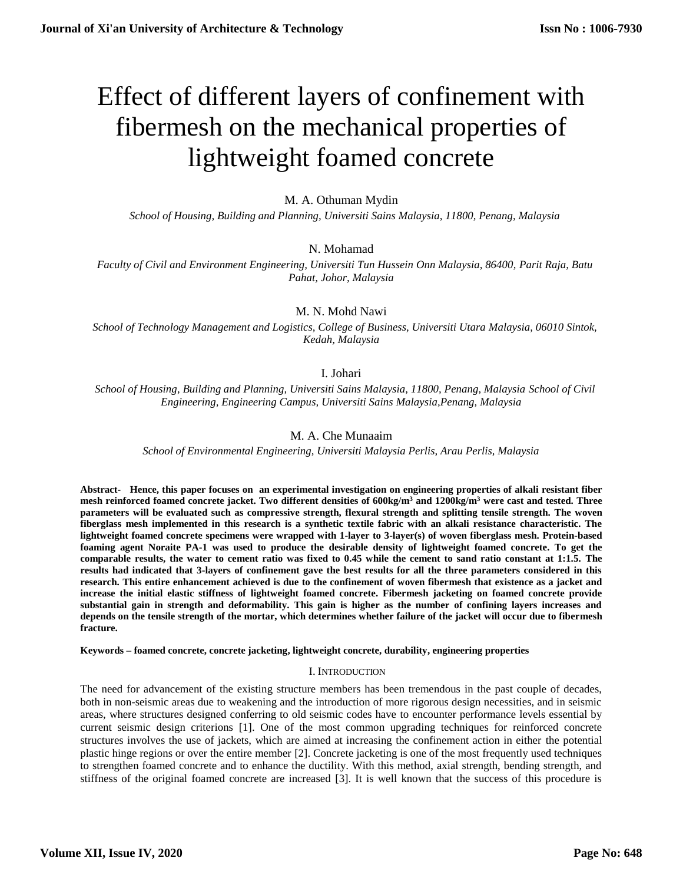# Effect of different layers of confinement with fibermesh on the mechanical properties of lightweight foamed concrete

# M. A. Othuman Mydin

 *School of Housing, Building and Planning, Universiti Sains Malaysia, 11800, Penang, Malaysia*

# N. Mohamad

 *Faculty of Civil and Environment Engineering, Universiti Tun Hussein Onn Malaysia, 86400, Parit Raja, Batu Pahat, Johor, Malaysia*

# M. N. Mohd Nawi

 *School of Technology Management and Logistics, College of Business, Universiti Utara Malaysia, 06010 Sintok, Kedah, Malaysia*

# I. Johari

 *School of Housing, Building and Planning, Universiti Sains Malaysia, 11800, Penang, Malaysia School of Civil Engineering, Engineering Campus, Universiti Sains Malaysia,Penang, Malaysia*

# M. A. Che Munaaim

*School of Environmental Engineering, Universiti Malaysia Perlis, Arau Perlis, Malaysia*

**Abstract- Hence, this paper focuses on an experimental investigation on engineering properties of alkali resistant fiber mesh reinforced foamed concrete jacket. Two different densities of 600kg/m<sup>3</sup> and 1200kg/m<sup>3</sup> were cast and tested. Three parameters will be evaluated such as compressive strength, flexural strength and splitting tensile strength. The woven fiberglass mesh implemented in this research is a synthetic textile fabric with an alkali resistance characteristic. The lightweight foamed concrete specimens were wrapped with 1-layer to 3-layer(s) of woven fiberglass mesh. Protein-based foaming agent Noraite PA-1 was used to produce the desirable density of lightweight foamed concrete. To get the comparable results, the water to cement ratio was fixed to 0.45 while the cement to sand ratio constant at 1:1.5. The results had indicated that 3-layers of confinement gave the best results for all the three parameters considered in this research. This entire enhancement achieved is due to the confinement of woven fibermesh that existence as a jacket and increase the initial elastic stiffness of lightweight foamed concrete. Fibermesh jacketing on foamed concrete provide substantial gain in strength and deformability. This gain is higher as the number of confining layers increases and depends on the tensile strength of the mortar, which determines whether failure of the jacket will occur due to fibermesh fracture.**

**Keywords – foamed concrete, concrete jacketing, lightweight concrete, durability, engineering properties**

## I. INTRODUCTION

The need for advancement of the existing structure members has been tremendous in the past couple of decades, both in non-seismic areas due to weakening and the introduction of more rigorous design necessities, and in seismic areas, where structures designed conferring to old seismic codes have to encounter performance levels essential by current seismic design criterions [1]. One of the most common upgrading techniques for reinforced concrete structures involves the use of jackets, which are aimed at increasing the confinement action in either the potential plastic hinge regions or over the entire member [2]. Concrete jacketing is one of the most frequently used techniques to strengthen foamed concrete and to enhance the ductility. With this method, axial strength, bending strength, and stiffness of the original foamed concrete are increased [3]. It is well known that the success of this procedure is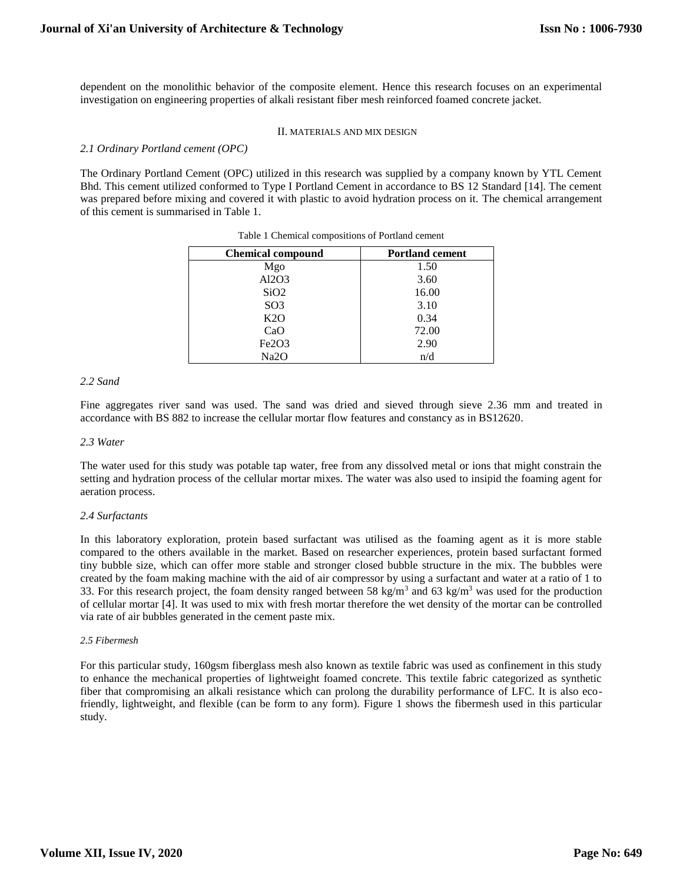dependent on the monolithic behavior of the composite element. Hence this research focuses on an experimental investigation on engineering properties of alkali resistant fiber mesh reinforced foamed concrete jacket.

#### II. MATERIALS AND MIX DESIGN

*2.1 Ordinary Portland cement (OPC)*

The Ordinary Portland Cement (OPC) utilized in this research was supplied by a company known by YTL Cement Bhd. This cement utilized conformed to Type I Portland Cement in accordance to BS 12 Standard [14]. The cement was prepared before mixing and covered it with plastic to avoid hydration process on it. The chemical arrangement of this cement is summarised in Table 1.

| <b>Chemical compound</b> | <b>Portland cement</b> |
|--------------------------|------------------------|
| Mgo                      | 1.50                   |
| Al2O3                    | 3.60                   |
| SiO2                     | 16.00                  |
| SO <sub>3</sub>          | 3.10                   |
| K2O                      | 0.34                   |
| CaO                      | 72.00                  |
| Fe2O3                    | 2.90                   |
| Na <sub>2</sub> O        | n/d                    |

Table 1 Chemical compositions of Portland cement

## *2.2 Sand*

Fine aggregates river sand was used. The sand was dried and sieved through sieve 2.36 mm and treated in accordance with BS 882 to increase the cellular mortar flow features and constancy as in BS12620.

#### *2.3 Water*

The water used for this study was potable tap water, free from any dissolved metal or ions that might constrain the setting and hydration process of the cellular mortar mixes. The water was also used to insipid the foaming agent for aeration process.

#### *2.4 Surfactants*

In this laboratory exploration, protein based surfactant was utilised as the foaming agent as it is more stable compared to the others available in the market. Based on researcher experiences, protein based surfactant formed tiny bubble size, which can offer more stable and stronger closed bubble structure in the mix. The bubbles were created by the foam making machine with the aid of air compressor by using a surfactant and water at a ratio of 1 to 33. For this research project, the foam density ranged between 58 kg/m<sup>3</sup> and 63 kg/m<sup>3</sup> was used for the production of cellular mortar [4]. It was used to mix with fresh mortar therefore the wet density of the mortar can be controlled via rate of air bubbles generated in the cement paste mix.

#### *2.5 Fibermesh*

For this particular study, 160gsm fiberglass mesh also known as textile fabric was used as confinement in this study to enhance the mechanical properties of lightweight foamed concrete. This textile fabric categorized as synthetic fiber that compromising an alkali resistance which can prolong the durability performance of LFC. It is also ecofriendly, lightweight, and flexible (can be form to any form). Figure 1 shows the fibermesh used in this particular study.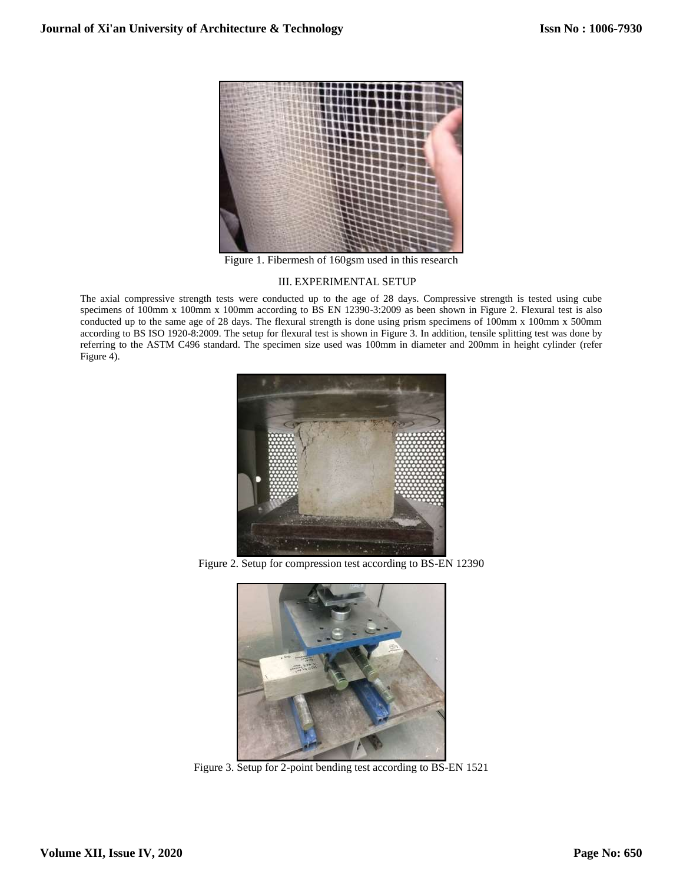

Figure 1. Fibermesh of 160gsm used in this research

## III. EXPERIMENTAL SETUP

The axial compressive strength tests were conducted up to the age of 28 days. Compressive strength is tested using cube specimens of 100mm x 100mm x 100mm according to BS EN 12390-3:2009 as been shown in Figure 2. Flexural test is also conducted up to the same age of 28 days. The flexural strength is done using prism specimens of 100mm x 100mm x 500mm according to BS ISO 1920-8:2009. The setup for flexural test is shown in Figure 3. In addition, tensile splitting test was done by referring to the ASTM C496 standard. The specimen size used was 100mm in diameter and 200mm in height cylinder (refer Figure 4).



Figure 2. Setup for compression test according to BS-EN 12390



Figure 3. Setup for 2-point bending test according to BS-EN 1521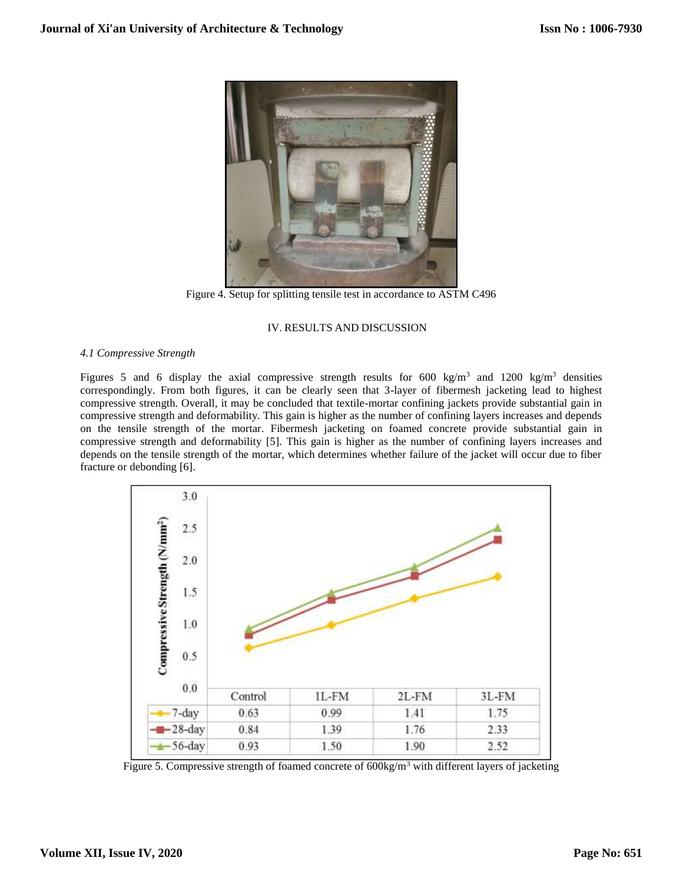

Figure 4. Setup for splitting tensile test in accordance to ASTM C496

## IV. RESULTS AND DISCUSSION

## *4.1 Compressive Strength*

Figures 5 and 6 display the axial compressive strength results for 600 kg/m<sup>3</sup> and 1200 kg/m<sup>3</sup> densities correspondingly. From both figures, it can be clearly seen that 3-layer of fibermesh jacketing lead to highest compressive strength. Overall, it may be concluded that textile-mortar confining jackets provide substantial gain in compressive strength and deformability. This gain is higher as the number of confining layers increases and depends on the tensile strength of the mortar. Fibermesh jacketing on foamed concrete provide substantial gain in compressive strength and deformability [5]. This gain is higher as the number of confining layers increases and depends on the tensile strength of the mortar, which determines whether failure of the jacket will occur due to fiber fracture or debonding [6].



Figure 5. Compressive strength of foamed concrete of 600kg/m<sup>3</sup> with different layers of jacketing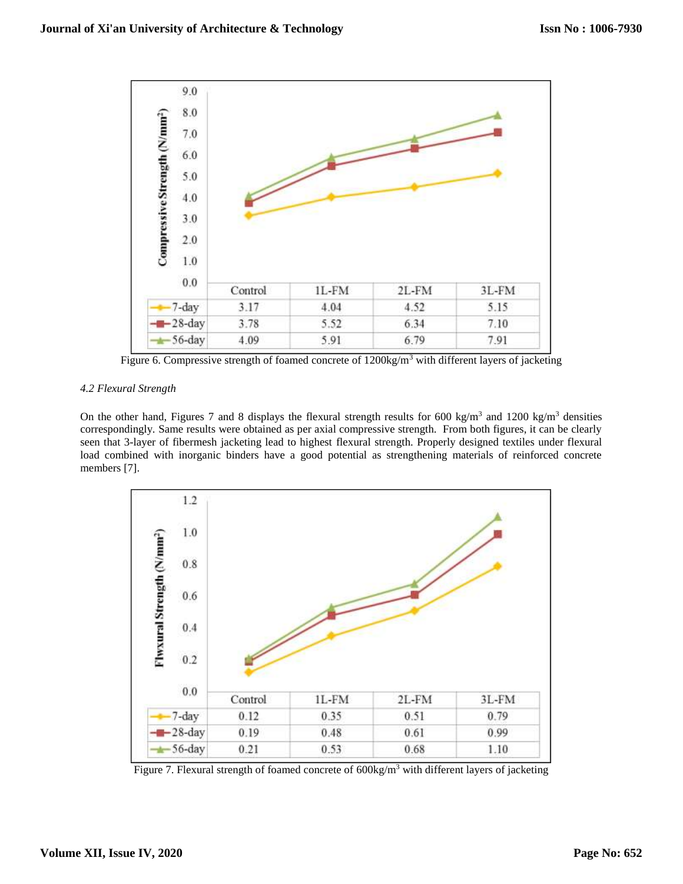

Figure 6. Compressive strength of foamed concrete of  $1200\text{kg/m}^3$  with different layers of jacketing

# *4.2 Flexural Strength*

On the other hand, Figures 7 and 8 displays the flexural strength results for 600 kg/m<sup>3</sup> and 1200 kg/m<sup>3</sup> densities correspondingly. Same results were obtained as per axial compressive strength. From both figures, it can be clearly seen that 3-layer of fibermesh jacketing lead to highest flexural strength. Properly designed textiles under flexural load combined with inorganic binders have a good potential as strengthening materials of reinforced concrete members [7].



Figure 7. Flexural strength of foamed concrete of 600kg/m<sup>3</sup> with different layers of jacketing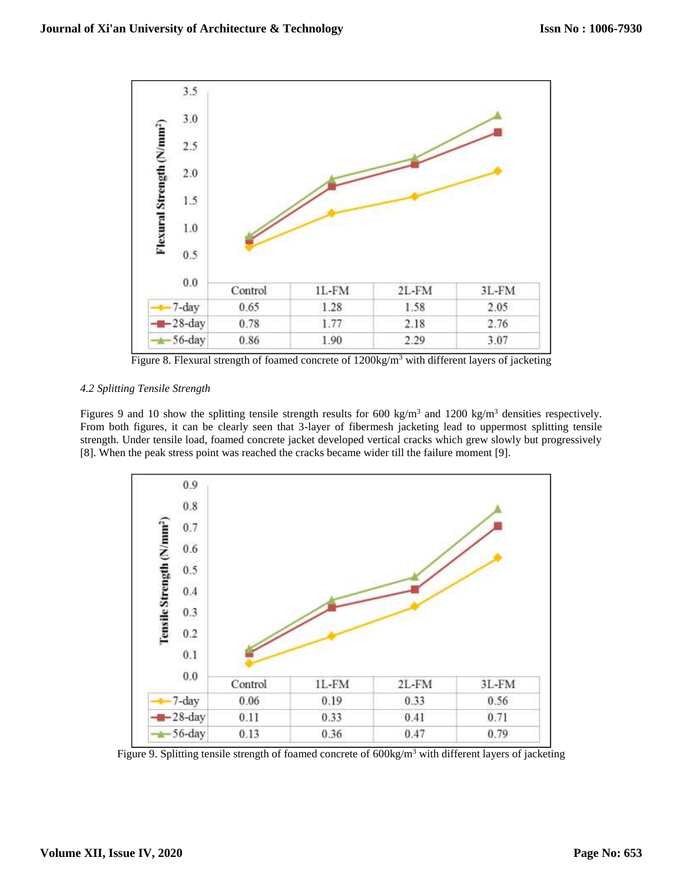

Figure 8. Flexural strength of foamed concrete of 1200kg/m<sup>3</sup> with different layers of jacketing

# *4.2 Splitting Tensile Strength*

Figures 9 and 10 show the splitting tensile strength results for 600 kg/m<sup>3</sup> and 1200 kg/m<sup>3</sup> densities respectively. From both figures, it can be clearly seen that 3-layer of fibermesh jacketing lead to uppermost splitting tensile strength. Under tensile load, foamed concrete jacket developed vertical cracks which grew slowly but progressively [8]. When the peak stress point was reached the cracks became wider till the failure moment [9].



Figure 9. Splitting tensile strength of foamed concrete of  $600\text{kg/m}^3$  with different layers of jacketing